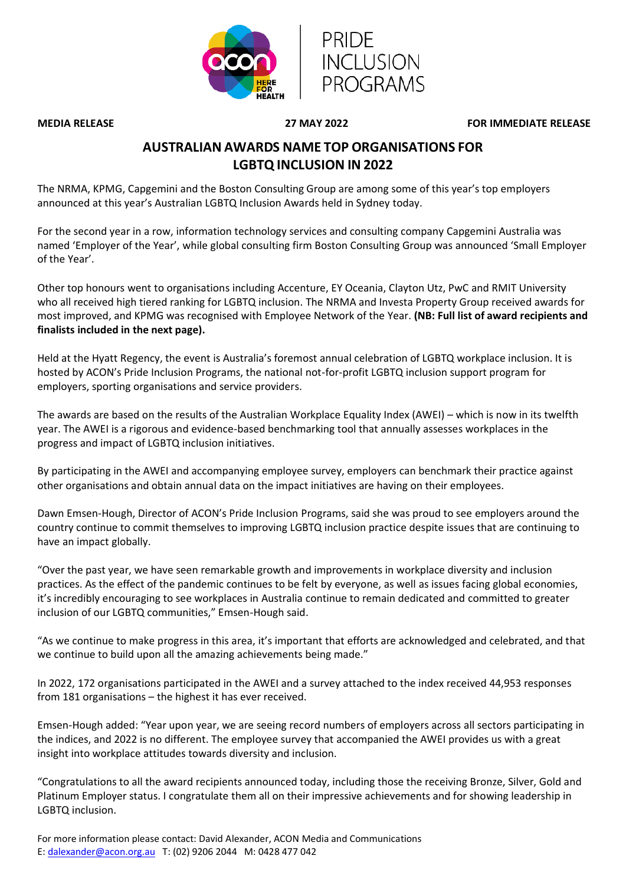



**MEDIA RELEASE 27 MAY 2022 FOR IMMEDIATE RELEASE**

## **AUSTRALIAN AWARDS NAME TOP ORGANISATIONS FOR LGBTQ INCLUSION IN 2022**

The NRMA, KPMG, Capgemini and the Boston Consulting Group are among some of this year's top employers announced at this year's Australian LGBTQ Inclusion Awards held in Sydney today.

For the second year in a row, information technology services and consulting company Capgemini Australia was named 'Employer of the Year', while global consulting firm Boston Consulting Group was announced 'Small Employer of the Year'.

Other top honours went to organisations including Accenture, EY Oceania, Clayton Utz, PwC and RMIT University who all received high tiered ranking for LGBTQ inclusion. The NRMA and Investa Property Group received awards for most improved, and KPMG was recognised with Employee Network of the Year. **(NB: Full list of award recipients and finalists included in the next page).**

Held at the Hyatt Regency, the event is Australia's foremost annual celebration of LGBTQ workplace inclusion. It is hosted by ACON's Pride Inclusion Programs, the national not-for-profit LGBTQ inclusion support program for employers, sporting organisations and service providers.

The awards are based on the results of the Australian Workplace Equality Index (AWEI) – which is now in its twelfth year. The AWEI is a rigorous and evidence-based benchmarking tool that annually assesses workplaces in the progress and impact of LGBTQ inclusion initiatives.

By participating in the AWEI and accompanying employee survey, employers can benchmark their practice against other organisations and obtain annual data on the impact initiatives are having on their employees.

Dawn Emsen-Hough, Director of ACON's Pride Inclusion Programs, said she was proud to see employers around the country continue to commit themselves to improving LGBTQ inclusion practice despite issues that are continuing to have an impact globally.

"Over the past year, we have seen remarkable growth and improvements in workplace diversity and inclusion practices. As the effect of the pandemic continues to be felt by everyone, as well as issues facing global economies, it's incredibly encouraging to see workplaces in Australia continue to remain dedicated and committed to greater inclusion of our LGBTQ communities," Emsen-Hough said.

"As we continue to make progress in this area, it's important that efforts are acknowledged and celebrated, and that we continue to build upon all the amazing achievements being made."

In 2022, 172 organisations participated in the AWEI and a survey attached to the index received 44,953 responses from 181 organisations – the highest it has ever received.

Emsen-Hough added: "Year upon year, we are seeing record numbers of employers across all sectors participating in the indices, and 2022 is no different. The employee survey that accompanied the AWEI provides us with a great insight into workplace attitudes towards diversity and inclusion.

"Congratulations to all the award recipients announced today, including those the receiving Bronze, Silver, Gold and Platinum Employer status. I congratulate them all on their impressive achievements and for showing leadership in LGBTQ inclusion.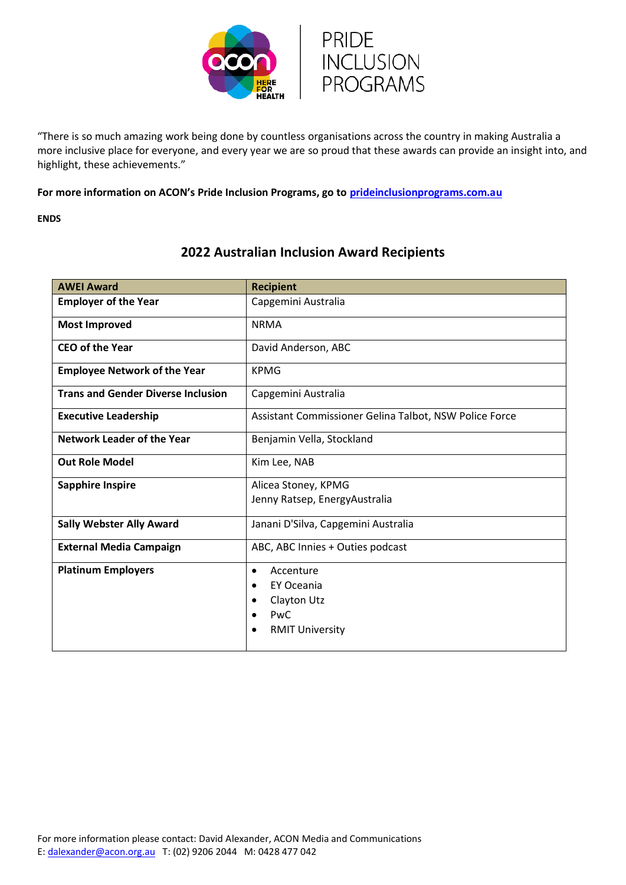

"There is so much amazing work being done by countless organisations across the country in making Australia a more inclusive place for everyone, and every year we are so proud that these awards can provide an insight into, and highlight, these achievements."

**For more information on ACON's Pride Inclusion Programs, go to [prideinclusionprograms.com.au](http://www.prideinclusionprograms.com.au/)**

**ENDS**

| <b>AWEI Award</b>                         | <b>Recipient</b>                                                                       |  |  |
|-------------------------------------------|----------------------------------------------------------------------------------------|--|--|
| <b>Employer of the Year</b>               | Capgemini Australia                                                                    |  |  |
| <b>Most Improved</b>                      | <b>NRMA</b>                                                                            |  |  |
| <b>CEO of the Year</b>                    | David Anderson, ABC                                                                    |  |  |
| <b>Employee Network of the Year</b>       | <b>KPMG</b>                                                                            |  |  |
| <b>Trans and Gender Diverse Inclusion</b> | Capgemini Australia                                                                    |  |  |
| <b>Executive Leadership</b>               | Assistant Commissioner Gelina Talbot, NSW Police Force                                 |  |  |
| <b>Network Leader of the Year</b>         | Benjamin Vella, Stockland                                                              |  |  |
| <b>Out Role Model</b>                     | Kim Lee, NAB                                                                           |  |  |
| <b>Sapphire Inspire</b>                   | Alicea Stoney, KPMG<br>Jenny Ratsep, EnergyAustralia                                   |  |  |
| <b>Sally Webster Ally Award</b>           | Janani D'Silva, Capgemini Australia                                                    |  |  |
| <b>External Media Campaign</b>            | ABC, ABC Innies + Outies podcast                                                       |  |  |
| <b>Platinum Employers</b>                 | Accenture<br>٠<br>EY Oceania<br>٠<br>Clayton Utz<br>٠<br>PwC<br><b>RMIT University</b> |  |  |

## **2022 Australian Inclusion Award Recipients**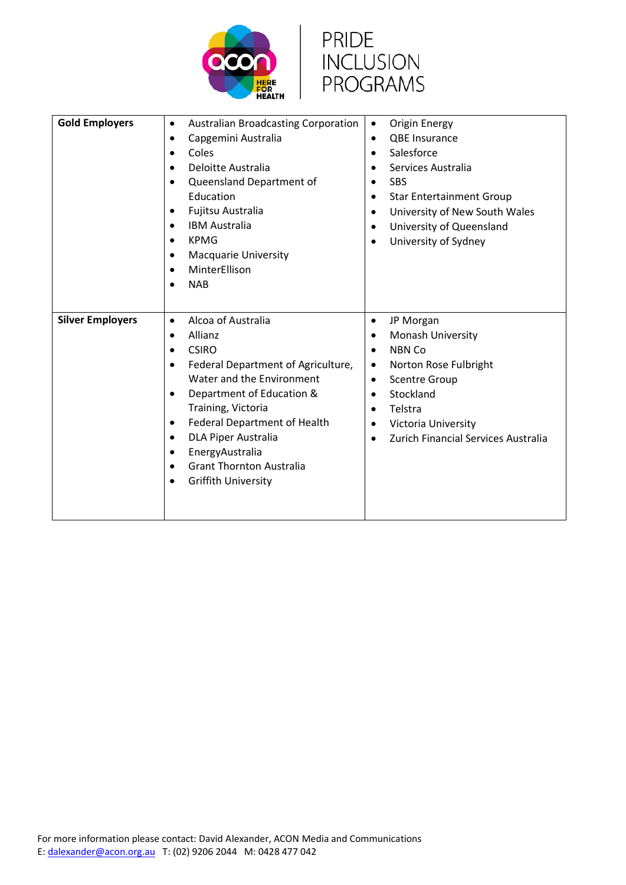



| <b>Gold Employers</b>   | <b>Australian Broadcasting Corporation</b><br>$\bullet$ | Origin Energy<br>$\bullet$                       |
|-------------------------|---------------------------------------------------------|--------------------------------------------------|
|                         | Capgemini Australia<br>$\bullet$                        | <b>QBE Insurance</b><br>$\bullet$                |
|                         | Coles<br>$\bullet$                                      | Salesforce<br>$\bullet$                          |
|                         | Deloitte Australia<br>$\bullet$                         | Services Australia<br>$\bullet$                  |
|                         | Queensland Department of<br>$\bullet$                   | <b>SBS</b><br>$\bullet$                          |
|                         | Education                                               | <b>Star Entertainment Group</b><br>$\bullet$     |
|                         | Fujitsu Australia<br>٠                                  | University of New South Wales<br>$\bullet$       |
|                         | <b>IBM Australia</b><br>$\bullet$                       | University of Queensland<br>$\bullet$            |
|                         | <b>KPMG</b><br>$\bullet$                                | University of Sydney<br>$\bullet$                |
|                         | <b>Macquarie University</b><br>$\bullet$                |                                                  |
|                         | MinterEllison<br>$\bullet$                              |                                                  |
|                         | <b>NAB</b>                                              |                                                  |
|                         |                                                         |                                                  |
|                         |                                                         |                                                  |
| <b>Silver Employers</b> | Alcoa of Australia<br>$\bullet$                         | JP Morgan<br>$\bullet$                           |
|                         | Allianz<br>$\bullet$                                    | <b>Monash University</b><br>$\bullet$            |
|                         | <b>CSIRO</b><br>$\bullet$                               | NBN Co<br>$\bullet$                              |
|                         | Federal Department of Agriculture,<br>$\bullet$         | Norton Rose Fulbright<br>$\bullet$               |
|                         | Water and the Environment                               | <b>Scentre Group</b><br>$\bullet$                |
|                         | Department of Education &<br>$\bullet$                  | Stockland<br>$\bullet$                           |
|                         | Training, Victoria                                      | Telstra<br>$\bullet$                             |
|                         | Federal Department of Health<br>$\bullet$               | Victoria University<br>$\bullet$                 |
|                         | <b>DLA Piper Australia</b><br>$\bullet$                 | Zurich Financial Services Australia<br>$\bullet$ |
|                         | EnergyAustralia<br>$\bullet$                            |                                                  |
|                         | <b>Grant Thornton Australia</b><br>$\bullet$            |                                                  |
|                         | <b>Griffith University</b>                              |                                                  |
|                         |                                                         |                                                  |
|                         |                                                         |                                                  |
|                         |                                                         |                                                  |